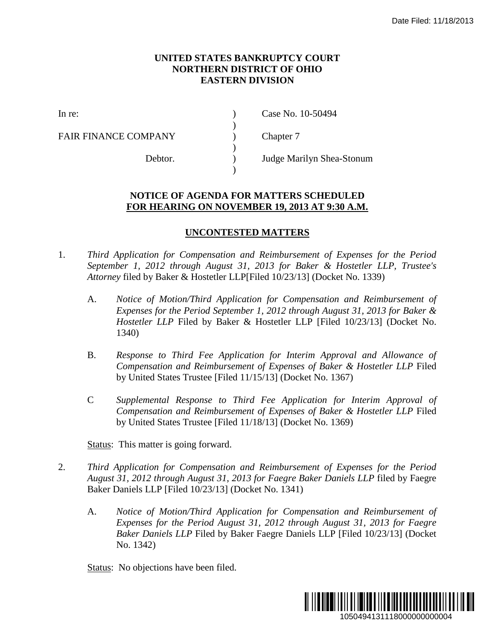## **UNITED STATES BANKRUPTCY COURT NORTHERN DISTRICT OF OHIO EASTERN DIVISION**

)

)

)

FAIR FINANCE COMPANY (a) Chapter 7

In re: (a) Case No. 10-50494

Debtor. ) Judge Marilyn Shea-Stonum

## **NOTICE OF AGENDA FOR MATTERS SCHEDULED FOR HEARING ON NOVEMBER 19, 2013 AT 9:30 A.M.**

## **UNCONTESTED MATTERS**

- 1. *Third Application for Compensation and Reimbursement of Expenses for the Period September 1, 2012 through August 31, 2013 for Baker & Hostetler LLP, Trustee's Attorney* filed by Baker & Hostetler LLP[Filed 10/23/13] (Docket No. 1339)
- A. *Notice of Motion/Third Application for Compensation and Reimbursement of Expenses for the Period September 1, 2012 through August 31, 2013 for Baker & Hostetler LLP* Filed by Baker & Hostetler LLP [Filed 10/23/13] (Docket No. 1340) Date Filed: 11/18/2013<br>
Date Filed: 11/18/2013<br>
Date Filed: 11/18/2013<br>
Expenses for the Period<br>
tosteler LLP, Trustee's<br>
total 31, 2013 for Baker &<br>
10/23/13] (Docket No.<br>
oval and Allowance of<br>
r & Hosteler LLP Filed<br>
67
	- B. *Response to Third Fee Application for Interim Approval and Allowance of Compensation and Reimbursement of Expenses of Baker & Hostetler LLP* Filed by United States Trustee [Filed 11/15/13] (Docket No. 1367)
	- C *Supplemental Response to Third Fee Application for Interim Approval of Compensation and Reimbursement of Expenses of Baker & Hostetler LLP* Filed by United States Trustee [Filed 11/18/13] (Docket No. 1369)

Status: This matter is going forward.

- 2. *Third Application for Compensation and Reimbursement of Expenses for the Period August 31, 2012 through August 31, 2013 for Faegre Baker Daniels LLP* filed by Faegre Baker Daniels LLP [Filed 10/23/13] (Docket No. 1341)
	- A. *Notice of Motion/Third Application for Compensation and Reimbursement of Expenses for the Period August 31, 2012 through August 31, 2013 for Faegre Baker Daniels LLP* Filed by Baker Faegre Daniels LLP [Filed 10/23/13] (Docket No. 1342)

Status: No objections have been filed.

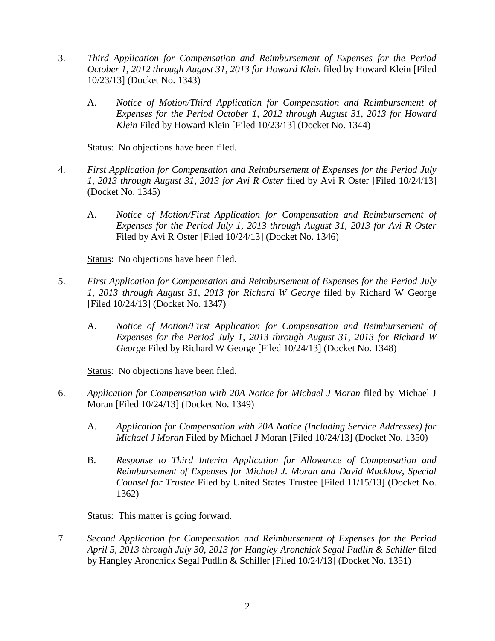- 3. *Third Application for Compensation and Reimbursement of Expenses for the Period October 1, 2012 through August 31, 2013 for Howard Klein* filed by Howard Klein [Filed 10/23/13] (Docket No. 1343)
	- A. *Notice of Motion/Third Application for Compensation and Reimbursement of Expenses for the Period October 1, 2012 through August 31, 2013 for Howard Klein* Filed by Howard Klein [Filed 10/23/13] (Docket No. 1344)

Status: No objections have been filed.

- 4. *First Application for Compensation and Reimbursement of Expenses for the Period July 1, 2013 through August 31, 2013 for Avi R Oster* filed by Avi R Oster [Filed 10/24/13] (Docket No. 1345)
	- A. *Notice of Motion/First Application for Compensation and Reimbursement of Expenses for the Period July 1, 2013 through August 31, 2013 for Avi R Oster* Filed by Avi R Oster [Filed 10/24/13] (Docket No. 1346)

Status: No objections have been filed.

- 5. *First Application for Compensation and Reimbursement of Expenses for the Period July 1, 2013 through August 31, 2013 for Richard W George* filed by Richard W George [Filed 10/24/13] (Docket No. 1347)
	- A. *Notice of Motion/First Application for Compensation and Reimbursement of Expenses for the Period July 1, 2013 through August 31, 2013 for Richard W George* Filed by Richard W George [Filed 10/24/13] (Docket No. 1348)

Status: No objections have been filed.

- 6. *Application for Compensation with 20A Notice for Michael J Moran* filed by Michael J Moran [Filed 10/24/13] (Docket No. 1349)
	- A. *Application for Compensation with 20A Notice (Including Service Addresses) for Michael J Moran* Filed by Michael J Moran [Filed 10/24/13] (Docket No. 1350)
	- B. *Response to Third Interim Application for Allowance of Compensation and Reimbursement of Expenses for Michael J. Moran and David Mucklow, Special Counsel for Trustee* Filed by United States Trustee [Filed 11/15/13] (Docket No. 1362)

Status: This matter is going forward.

7. *Second Application for Compensation and Reimbursement of Expenses for the Period April 5, 2013 through July 30, 2013 for Hangley Aronchick Segal Pudlin & Schiller* filed by Hangley Aronchick Segal Pudlin & Schiller [Filed 10/24/13] (Docket No. 1351)